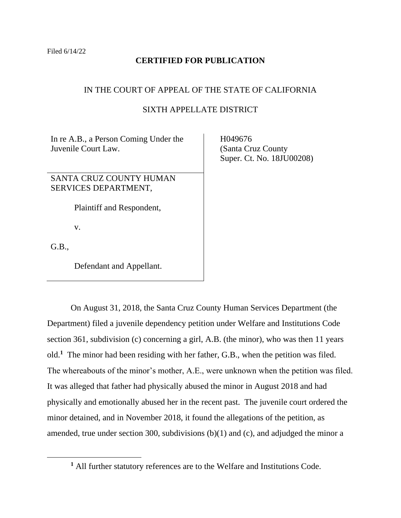# **CERTIFIED FOR PUBLICATION**

# IN THE COURT OF APPEAL OF THE STATE OF CALIFORNIA

# SIXTH APPELLATE DISTRICT

In re A.B., a Person Coming Under the Juvenile Court Law.

SANTA CRUZ COUNTY HUMAN SERVICES DEPARTMENT,

Plaintiff and Respondent,

v.

G.B.,

Defendant and Appellant.

 H049676 (Santa Cruz County Super. Ct. No. 18JU00208)

On August 31, 2018, the Santa Cruz County Human Services Department (the Department) filed a juvenile dependency petition under Welfare and Institutions Code section 361, subdivision (c) concerning a girl, A.B. (the minor), who was then 11 years old.**<sup>1</sup>** The minor had been residing with her father, G.B., when the petition was filed. The whereabouts of the minor's mother, A.E., were unknown when the petition was filed. It was alleged that father had physically abused the minor in August 2018 and had physically and emotionally abused her in the recent past. The juvenile court ordered the minor detained, and in November 2018, it found the allegations of the petition, as amended, true under section 300, subdivisions (b)(1) and (c), and adjudged the minor a

**<sup>1</sup>** All further statutory references are to the Welfare and Institutions Code.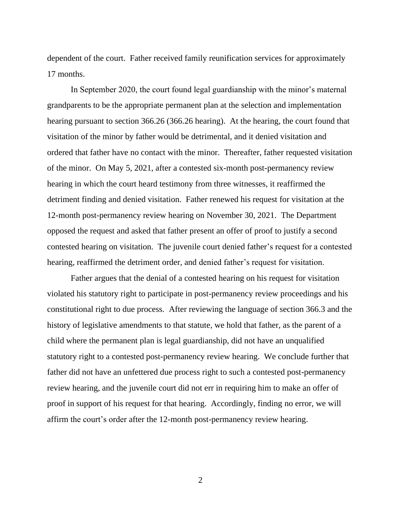dependent of the court. Father received family reunification services for approximately 17 months.

In September 2020, the court found legal guardianship with the minor's maternal grandparents to be the appropriate permanent plan at the selection and implementation hearing pursuant to section 366.26 (366.26 hearing). At the hearing, the court found that visitation of the minor by father would be detrimental, and it denied visitation and ordered that father have no contact with the minor. Thereafter, father requested visitation of the minor. On May 5, 2021, after a contested six-month post-permanency review hearing in which the court heard testimony from three witnesses, it reaffirmed the detriment finding and denied visitation. Father renewed his request for visitation at the 12-month post-permanency review hearing on November 30, 2021. The Department opposed the request and asked that father present an offer of proof to justify a second contested hearing on visitation. The juvenile court denied father's request for a contested hearing, reaffirmed the detriment order, and denied father's request for visitation.

Father argues that the denial of a contested hearing on his request for visitation violated his statutory right to participate in post-permanency review proceedings and his constitutional right to due process. After reviewing the language of section 366.3 and the history of legislative amendments to that statute, we hold that father, as the parent of a child where the permanent plan is legal guardianship, did not have an unqualified statutory right to a contested post-permanency review hearing. We conclude further that father did not have an unfettered due process right to such a contested post-permanency review hearing, and the juvenile court did not err in requiring him to make an offer of proof in support of his request for that hearing. Accordingly, finding no error, we will affirm the court's order after the 12-month post-permanency review hearing.

 $\mathcal{L}$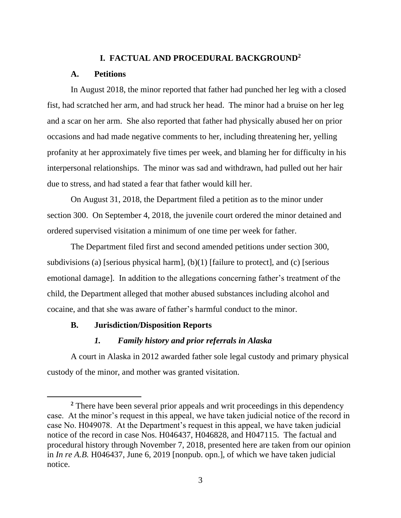## **I. FACTUAL AND PROCEDURAL BACKGROUND<sup>2</sup>**

### **A. Petitions**

In August 2018, the minor reported that father had punched her leg with a closed fist, had scratched her arm, and had struck her head. The minor had a bruise on her leg and a scar on her arm. She also reported that father had physically abused her on prior occasions and had made negative comments to her, including threatening her, yelling profanity at her approximately five times per week, and blaming her for difficulty in his interpersonal relationships. The minor was sad and withdrawn, had pulled out her hair due to stress, and had stated a fear that father would kill her.

On August 31, 2018, the Department filed a petition as to the minor under section 300. On September 4, 2018, the juvenile court ordered the minor detained and ordered supervised visitation a minimum of one time per week for father.

The Department filed first and second amended petitions under section 300, subdivisions (a) [serious physical harm], (b)(1) [failure to protect], and (c) [serious emotional damage]. In addition to the allegations concerning father's treatment of the child, the Department alleged that mother abused substances including alcohol and cocaine, and that she was aware of father's harmful conduct to the minor.

## **B. Jurisdiction/Disposition Reports**

### *1. Family history and prior referrals in Alaska*

A court in Alaska in 2012 awarded father sole legal custody and primary physical custody of the minor, and mother was granted visitation.

**<sup>2</sup>** There have been several prior appeals and writ proceedings in this dependency case. At the minor's request in this appeal, we have taken judicial notice of the record in case No. H049078. At the Department's request in this appeal, we have taken judicial notice of the record in case Nos. H046437, H046828, and H047115. The factual and procedural history through November 7, 2018, presented here are taken from our opinion in *In re A.B.* H046437, June 6, 2019 [nonpub. opn.], of which we have taken judicial notice.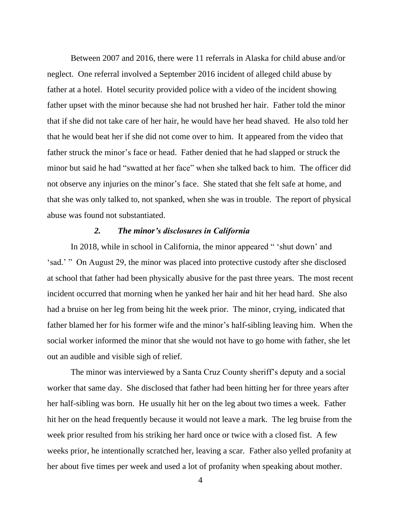Between 2007 and 2016, there were 11 referrals in Alaska for child abuse and/or neglect. One referral involved a September 2016 incident of alleged child abuse by father at a hotel. Hotel security provided police with a video of the incident showing father upset with the minor because she had not brushed her hair. Father told the minor that if she did not take care of her hair, he would have her head shaved. He also told her that he would beat her if she did not come over to him. It appeared from the video that father struck the minor's face or head. Father denied that he had slapped or struck the minor but said he had "swatted at her face" when she talked back to him. The officer did not observe any injuries on the minor's face. She stated that she felt safe at home, and that she was only talked to, not spanked, when she was in trouble. The report of physical abuse was found not substantiated.

### *2. The minor's disclosures in California*

In 2018, while in school in California, the minor appeared " 'shut down' and 'sad.' " On August 29, the minor was placed into protective custody after she disclosed at school that father had been physically abusive for the past three years. The most recent incident occurred that morning when he yanked her hair and hit her head hard. She also had a bruise on her leg from being hit the week prior. The minor, crying, indicated that father blamed her for his former wife and the minor's half-sibling leaving him. When the social worker informed the minor that she would not have to go home with father, she let out an audible and visible sigh of relief.

The minor was interviewed by a Santa Cruz County sheriff's deputy and a social worker that same day. She disclosed that father had been hitting her for three years after her half-sibling was born. He usually hit her on the leg about two times a week. Father hit her on the head frequently because it would not leave a mark. The leg bruise from the week prior resulted from his striking her hard once or twice with a closed fist. A few weeks prior, he intentionally scratched her, leaving a scar. Father also yelled profanity at her about five times per week and used a lot of profanity when speaking about mother.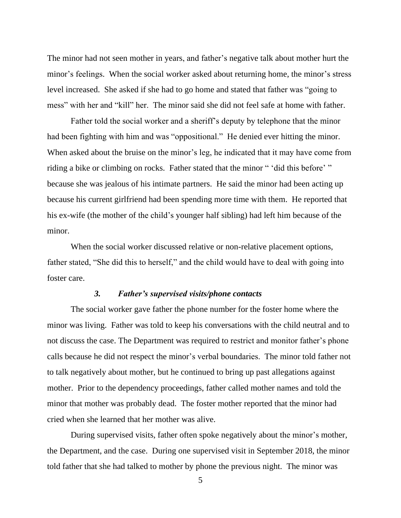The minor had not seen mother in years, and father's negative talk about mother hurt the minor's feelings. When the social worker asked about returning home, the minor's stress level increased. She asked if she had to go home and stated that father was "going to mess" with her and "kill" her. The minor said she did not feel safe at home with father.

Father told the social worker and a sheriff's deputy by telephone that the minor had been fighting with him and was "oppositional." He denied ever hitting the minor. When asked about the bruise on the minor's leg, he indicated that it may have come from riding a bike or climbing on rocks. Father stated that the minor " 'did this before' " because she was jealous of his intimate partners. He said the minor had been acting up because his current girlfriend had been spending more time with them. He reported that his ex-wife (the mother of the child's younger half sibling) had left him because of the minor.

When the social worker discussed relative or non-relative placement options, father stated, "She did this to herself," and the child would have to deal with going into foster care.

### *3. Father's supervised visits/phone contacts*

The social worker gave father the phone number for the foster home where the minor was living. Father was told to keep his conversations with the child neutral and to not discuss the case. The Department was required to restrict and monitor father's phone calls because he did not respect the minor's verbal boundaries. The minor told father not to talk negatively about mother, but he continued to bring up past allegations against mother. Prior to the dependency proceedings, father called mother names and told the minor that mother was probably dead. The foster mother reported that the minor had cried when she learned that her mother was alive.

During supervised visits, father often spoke negatively about the minor's mother, the Department, and the case. During one supervised visit in September 2018, the minor told father that she had talked to mother by phone the previous night. The minor was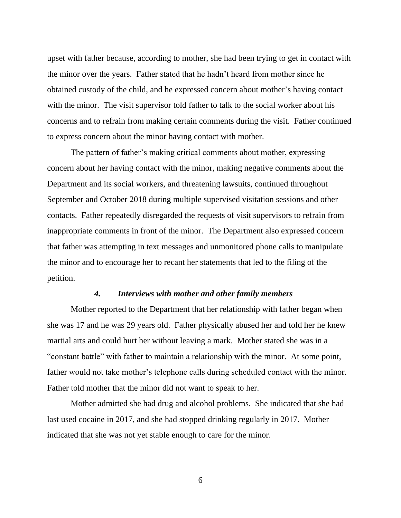upset with father because, according to mother, she had been trying to get in contact with the minor over the years. Father stated that he hadn't heard from mother since he obtained custody of the child, and he expressed concern about mother's having contact with the minor. The visit supervisor told father to talk to the social worker about his concerns and to refrain from making certain comments during the visit. Father continued to express concern about the minor having contact with mother.

The pattern of father's making critical comments about mother, expressing concern about her having contact with the minor, making negative comments about the Department and its social workers, and threatening lawsuits, continued throughout September and October 2018 during multiple supervised visitation sessions and other contacts. Father repeatedly disregarded the requests of visit supervisors to refrain from inappropriate comments in front of the minor. The Department also expressed concern that father was attempting in text messages and unmonitored phone calls to manipulate the minor and to encourage her to recant her statements that led to the filing of the petition.

#### *4. Interviews with mother and other family members*

Mother reported to the Department that her relationship with father began when she was 17 and he was 29 years old. Father physically abused her and told her he knew martial arts and could hurt her without leaving a mark. Mother stated she was in a "constant battle" with father to maintain a relationship with the minor. At some point, father would not take mother's telephone calls during scheduled contact with the minor. Father told mother that the minor did not want to speak to her.

Mother admitted she had drug and alcohol problems. She indicated that she had last used cocaine in 2017, and she had stopped drinking regularly in 2017. Mother indicated that she was not yet stable enough to care for the minor.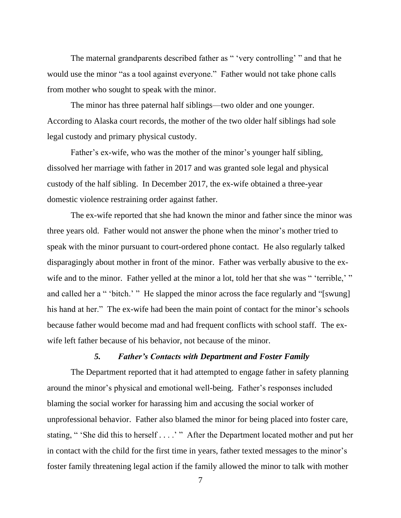The maternal grandparents described father as " 'very controlling' " and that he would use the minor "as a tool against everyone." Father would not take phone calls from mother who sought to speak with the minor.

The minor has three paternal half siblings—two older and one younger. According to Alaska court records, the mother of the two older half siblings had sole legal custody and primary physical custody.

Father's ex-wife, who was the mother of the minor's younger half sibling, dissolved her marriage with father in 2017 and was granted sole legal and physical custody of the half sibling. In December 2017, the ex-wife obtained a three-year domestic violence restraining order against father.

The ex-wife reported that she had known the minor and father since the minor was three years old. Father would not answer the phone when the minor's mother tried to speak with the minor pursuant to court-ordered phone contact. He also regularly talked disparagingly about mother in front of the minor. Father was verbally abusive to the exwife and to the minor. Father yelled at the minor a lot, told her that she was " 'terrible,' " and called her a " 'bitch.' " He slapped the minor across the face regularly and "[swung] his hand at her." The ex-wife had been the main point of contact for the minor's schools because father would become mad and had frequent conflicts with school staff. The exwife left father because of his behavior, not because of the minor.

### *5. Father's Contacts with Department and Foster Family*

The Department reported that it had attempted to engage father in safety planning around the minor's physical and emotional well-being. Father's responses included blaming the social worker for harassing him and accusing the social worker of unprofessional behavior. Father also blamed the minor for being placed into foster care, stating, " 'She did this to herself . . . .' " After the Department located mother and put her in contact with the child for the first time in years, father texted messages to the minor's foster family threatening legal action if the family allowed the minor to talk with mother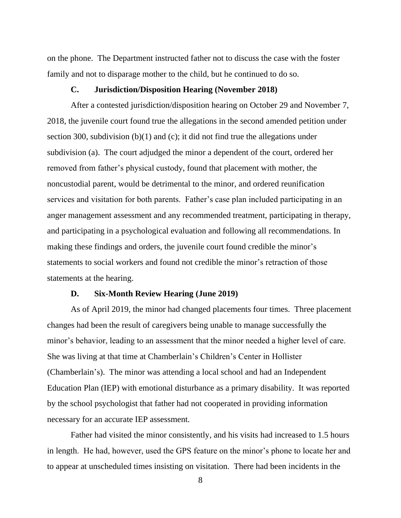on the phone. The Department instructed father not to discuss the case with the foster family and not to disparage mother to the child, but he continued to do so.

### **C. Jurisdiction/Disposition Hearing (November 2018)**

After a contested jurisdiction/disposition hearing on October 29 and November 7, 2018, the juvenile court found true the allegations in the second amended petition under section 300, subdivision (b)(1) and (c); it did not find true the allegations under subdivision (a). The court adjudged the minor a dependent of the court, ordered her removed from father's physical custody, found that placement with mother, the noncustodial parent, would be detrimental to the minor, and ordered reunification services and visitation for both parents. Father's case plan included participating in an anger management assessment and any recommended treatment, participating in therapy, and participating in a psychological evaluation and following all recommendations. In making these findings and orders, the juvenile court found credible the minor's statements to social workers and found not credible the minor's retraction of those statements at the hearing.

### **D. Six-Month Review Hearing (June 2019)**

As of April 2019, the minor had changed placements four times. Three placement changes had been the result of caregivers being unable to manage successfully the minor's behavior, leading to an assessment that the minor needed a higher level of care. She was living at that time at Chamberlain's Children's Center in Hollister (Chamberlain's). The minor was attending a local school and had an Independent Education Plan (IEP) with emotional disturbance as a primary disability. It was reported by the school psychologist that father had not cooperated in providing information necessary for an accurate IEP assessment.

Father had visited the minor consistently, and his visits had increased to 1.5 hours in length. He had, however, used the GPS feature on the minor's phone to locate her and to appear at unscheduled times insisting on visitation. There had been incidents in the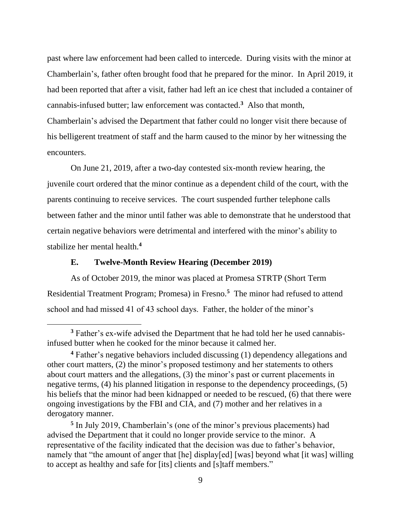past where law enforcement had been called to intercede. During visits with the minor at Chamberlain's, father often brought food that he prepared for the minor. In April 2019, it had been reported that after a visit, father had left an ice chest that included a container of cannabis-infused butter; law enforcement was contacted. **<sup>3</sup>** Also that month, Chamberlain's advised the Department that father could no longer visit there because of his belligerent treatment of staff and the harm caused to the minor by her witnessing the encounters.

On June 21, 2019, after a two-day contested six-month review hearing, the juvenile court ordered that the minor continue as a dependent child of the court, with the parents continuing to receive services. The court suspended further telephone calls between father and the minor until father was able to demonstrate that he understood that certain negative behaviors were detrimental and interfered with the minor's ability to stabilize her mental health.**<sup>4</sup>**

### **E. Twelve-Month Review Hearing (December 2019)**

As of October 2019, the minor was placed at Promesa STRTP (Short Term Residential Treatment Program; Promesa) in Fresno.**<sup>5</sup>** The minor had refused to attend school and had missed 41 of 43 school days. Father, the holder of the minor's

**<sup>3</sup>** Father's ex-wife advised the Department that he had told her he used cannabisinfused butter when he cooked for the minor because it calmed her.

**<sup>4</sup>** Father's negative behaviors included discussing (1) dependency allegations and other court matters, (2) the minor's proposed testimony and her statements to others about court matters and the allegations, (3) the minor's past or current placements in negative terms, (4) his planned litigation in response to the dependency proceedings, (5) his beliefs that the minor had been kidnapped or needed to be rescued, (6) that there were ongoing investigations by the FBI and CIA, and (7) mother and her relatives in a derogatory manner.

<sup>&</sup>lt;sup>5</sup> In July 2019, Chamberlain's (one of the minor's previous placements) had advised the Department that it could no longer provide service to the minor. A representative of the facility indicated that the decision was due to father's behavior, namely that "the amount of anger that [he] display[ed] [was] beyond what [it was] willing to accept as healthy and safe for [its] clients and [s]taff members."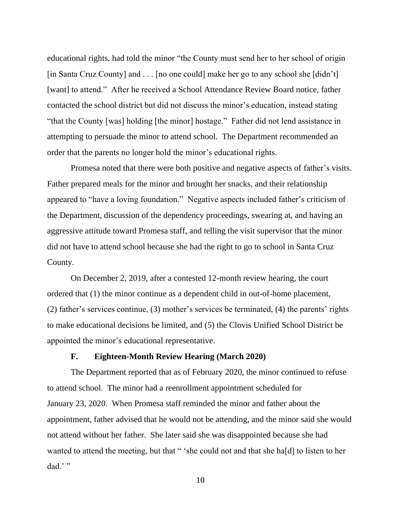educational rights, had told the minor "the County must send her to her school of origin [in Santa Cruz County] and . . . [no one could] make her go to any school she [didn't] [want] to attend." After he received a School Attendance Review Board notice, father contacted the school district but did not discuss the minor's education, instead stating "that the County [was] holding [the minor] hostage." Father did not lend assistance in attempting to persuade the minor to attend school. The Department recommended an order that the parents no longer hold the minor's educational rights.

Promesa noted that there were both positive and negative aspects of father's visits. Father prepared meals for the minor and brought her snacks, and their relationship appeared to "have a loving foundation." Negative aspects included father's criticism of the Department, discussion of the dependency proceedings, swearing at, and having an aggressive attitude toward Promesa staff, and telling the visit supervisor that the minor did not have to attend school because she had the right to go to school in Santa Cruz County.

On December 2, 2019, after a contested 12-month review hearing, the court ordered that (1) the minor continue as a dependent child in out-of-home placement, (2) father's services continue, (3) mother's services be terminated, (4) the parents' rights to make educational decisions be limited, and (5) the Clovis Unified School District be appointed the minor's educational representative.

## **F. Eighteen-Month Review Hearing (March 2020)**

The Department reported that as of February 2020, the minor continued to refuse to attend school. The minor had a reenrollment appointment scheduled for January 23, 2020. When Promesa staff reminded the minor and father about the appointment, father advised that he would not be attending, and the minor said she would not attend without her father. She later said she was disappointed because she had wanted to attend the meeting, but that " 'she could not and that she ha[d] to listen to her dad.'"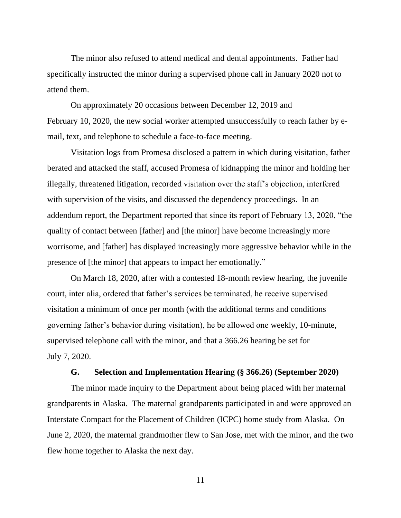The minor also refused to attend medical and dental appointments. Father had specifically instructed the minor during a supervised phone call in January 2020 not to attend them.

On approximately 20 occasions between December 12, 2019 and February 10, 2020, the new social worker attempted unsuccessfully to reach father by email, text, and telephone to schedule a face-to-face meeting.

Visitation logs from Promesa disclosed a pattern in which during visitation, father berated and attacked the staff, accused Promesa of kidnapping the minor and holding her illegally, threatened litigation, recorded visitation over the staff's objection, interfered with supervision of the visits, and discussed the dependency proceedings. In an addendum report, the Department reported that since its report of February 13, 2020, "the quality of contact between [father] and [the minor] have become increasingly more worrisome, and [father] has displayed increasingly more aggressive behavior while in the presence of [the minor] that appears to impact her emotionally."

On March 18, 2020, after with a contested 18-month review hearing, the juvenile court, inter alia, ordered that father's services be terminated, he receive supervised visitation a minimum of once per month (with the additional terms and conditions governing father's behavior during visitation), he be allowed one weekly, 10-minute, supervised telephone call with the minor, and that a 366.26 hearing be set for July 7, 2020.

# **G. Selection and Implementation Hearing (§ 366.26) (September 2020)**

The minor made inquiry to the Department about being placed with her maternal grandparents in Alaska. The maternal grandparents participated in and were approved an Interstate Compact for the Placement of Children (ICPC) home study from Alaska. On June 2, 2020, the maternal grandmother flew to San Jose, met with the minor, and the two flew home together to Alaska the next day.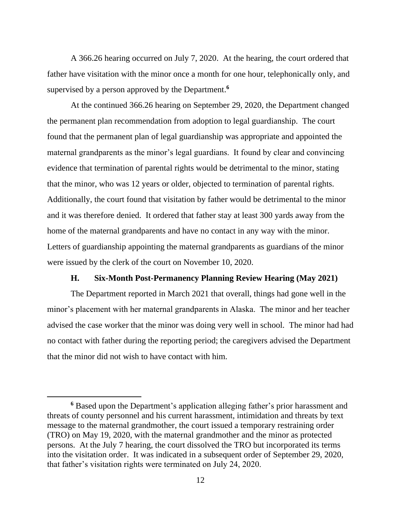A 366.26 hearing occurred on July 7, 2020. At the hearing, the court ordered that father have visitation with the minor once a month for one hour, telephonically only, and supervised by a person approved by the Department. **6**

At the continued 366.26 hearing on September 29, 2020, the Department changed the permanent plan recommendation from adoption to legal guardianship. The court found that the permanent plan of legal guardianship was appropriate and appointed the maternal grandparents as the minor's legal guardians. It found by clear and convincing evidence that termination of parental rights would be detrimental to the minor, stating that the minor, who was 12 years or older, objected to termination of parental rights. Additionally, the court found that visitation by father would be detrimental to the minor and it was therefore denied. It ordered that father stay at least 300 yards away from the home of the maternal grandparents and have no contact in any way with the minor. Letters of guardianship appointing the maternal grandparents as guardians of the minor were issued by the clerk of the court on November 10, 2020.

## **H. Six-Month Post-Permanency Planning Review Hearing (May 2021)**

The Department reported in March 2021 that overall, things had gone well in the minor's placement with her maternal grandparents in Alaska. The minor and her teacher advised the case worker that the minor was doing very well in school. The minor had had no contact with father during the reporting period; the caregivers advised the Department that the minor did not wish to have contact with him.

**<sup>6</sup>** Based upon the Department's application alleging father's prior harassment and threats of county personnel and his current harassment, intimidation and threats by text message to the maternal grandmother, the court issued a temporary restraining order (TRO) on May 19, 2020, with the maternal grandmother and the minor as protected persons. At the July 7 hearing, the court dissolved the TRO but incorporated its terms into the visitation order. It was indicated in a subsequent order of September 29, 2020, that father's visitation rights were terminated on July 24, 2020.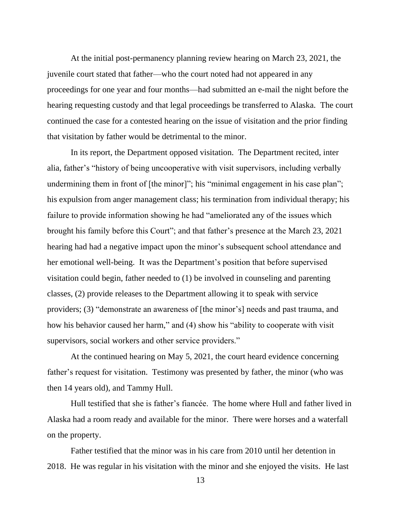At the initial post-permanency planning review hearing on March 23, 2021, the juvenile court stated that father—who the court noted had not appeared in any proceedings for one year and four months—had submitted an e-mail the night before the hearing requesting custody and that legal proceedings be transferred to Alaska. The court continued the case for a contested hearing on the issue of visitation and the prior finding that visitation by father would be detrimental to the minor.

In its report, the Department opposed visitation. The Department recited, inter alia, father's "history of being uncooperative with visit supervisors, including verbally undermining them in front of [the minor]"; his "minimal engagement in his case plan"; his expulsion from anger management class; his termination from individual therapy; his failure to provide information showing he had "ameliorated any of the issues which brought his family before this Court"; and that father's presence at the March 23, 2021 hearing had had a negative impact upon the minor's subsequent school attendance and her emotional well-being. It was the Department's position that before supervised visitation could begin, father needed to (1) be involved in counseling and parenting classes, (2) provide releases to the Department allowing it to speak with service providers; (3) "demonstrate an awareness of [the minor's] needs and past trauma, and how his behavior caused her harm," and (4) show his "ability to cooperate with visit supervisors, social workers and other service providers."

At the continued hearing on May 5, 2021, the court heard evidence concerning father's request for visitation. Testimony was presented by father, the minor (who was then 14 years old), and Tammy Hull.

Hull testified that she is father's fiancée. The home where Hull and father lived in Alaska had a room ready and available for the minor. There were horses and a waterfall on the property.

Father testified that the minor was in his care from 2010 until her detention in 2018. He was regular in his visitation with the minor and she enjoyed the visits. He last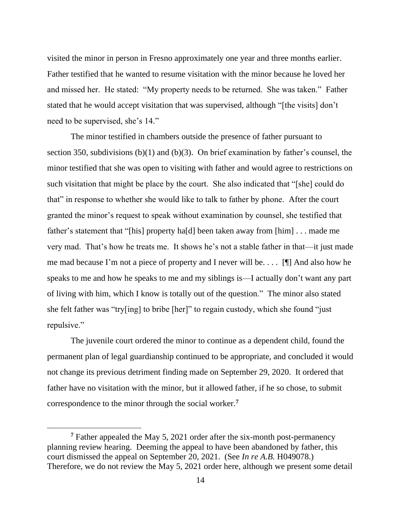visited the minor in person in Fresno approximately one year and three months earlier. Father testified that he wanted to resume visitation with the minor because he loved her and missed her. He stated: "My property needs to be returned. She was taken." Father stated that he would accept visitation that was supervised, although "[the visits] don't need to be supervised, she's 14."

The minor testified in chambers outside the presence of father pursuant to section 350, subdivisions (b)(1) and (b)(3). On brief examination by father's counsel, the minor testified that she was open to visiting with father and would agree to restrictions on such visitation that might be place by the court. She also indicated that "[she] could do that" in response to whether she would like to talk to father by phone. After the court granted the minor's request to speak without examination by counsel, she testified that father's statement that "[his] property ha[d] been taken away from [him] . . . made me very mad. That's how he treats me. It shows he's not a stable father in that—it just made me mad because I'm not a piece of property and I never will be. . . . [¶] And also how he speaks to me and how he speaks to me and my siblings is—I actually don't want any part of living with him, which I know is totally out of the question." The minor also stated she felt father was "try[ing] to bribe [her]" to regain custody, which she found "just repulsive."

The juvenile court ordered the minor to continue as a dependent child, found the permanent plan of legal guardianship continued to be appropriate, and concluded it would not change its previous detriment finding made on September 29, 2020. It ordered that father have no visitation with the minor, but it allowed father, if he so chose, to submit correspondence to the minor through the social worker.**<sup>7</sup>**

**<sup>7</sup>** Father appealed the May 5, 2021 order after the six-month post-permanency planning review hearing. Deeming the appeal to have been abandoned by father, this court dismissed the appeal on September 20, 2021. (See *In re A.B.* H049078.) Therefore, we do not review the May 5, 2021 order here, although we present some detail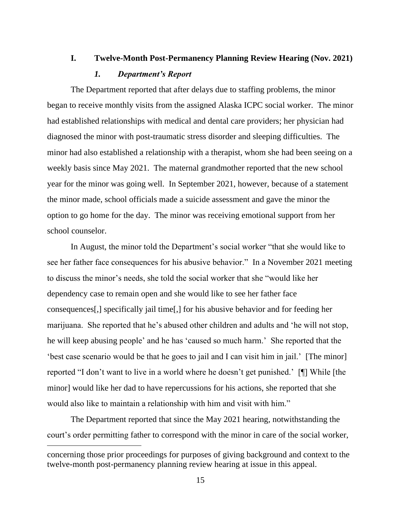# **I. Twelve-Month Post-Permanency Planning Review Hearing (Nov. 2021)**

## *1. Department's Report*

The Department reported that after delays due to staffing problems, the minor began to receive monthly visits from the assigned Alaska ICPC social worker. The minor had established relationships with medical and dental care providers; her physician had diagnosed the minor with post-traumatic stress disorder and sleeping difficulties. The minor had also established a relationship with a therapist, whom she had been seeing on a weekly basis since May 2021. The maternal grandmother reported that the new school year for the minor was going well. In September 2021, however, because of a statement the minor made, school officials made a suicide assessment and gave the minor the option to go home for the day. The minor was receiving emotional support from her school counselor.

In August, the minor told the Department's social worker "that she would like to see her father face consequences for his abusive behavior." In a November 2021 meeting to discuss the minor's needs, she told the social worker that she "would like her dependency case to remain open and she would like to see her father face consequences[,] specifically jail time[,] for his abusive behavior and for feeding her marijuana. She reported that he's abused other children and adults and 'he will not stop, he will keep abusing people' and he has 'caused so much harm.' She reported that the 'best case scenario would be that he goes to jail and I can visit him in jail.' [The minor] reported "I don't want to live in a world where he doesn't get punished.' [¶] While [the minor] would like her dad to have repercussions for his actions, she reported that she would also like to maintain a relationship with him and visit with him."

The Department reported that since the May 2021 hearing, notwithstanding the court's order permitting father to correspond with the minor in care of the social worker,

concerning those prior proceedings for purposes of giving background and context to the twelve-month post-permanency planning review hearing at issue in this appeal.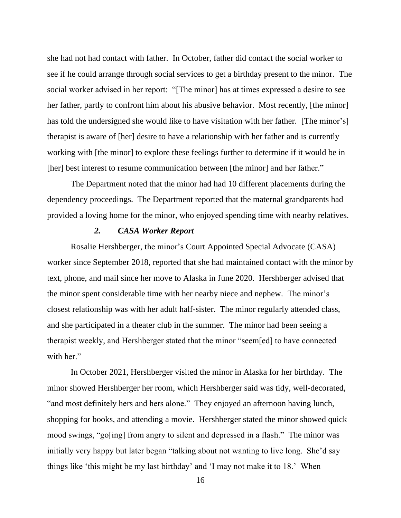she had not had contact with father. In October, father did contact the social worker to see if he could arrange through social services to get a birthday present to the minor. The social worker advised in her report: "[The minor] has at times expressed a desire to see her father, partly to confront him about his abusive behavior. Most recently, [the minor] has told the undersigned she would like to have visitation with her father. [The minor's] therapist is aware of [her] desire to have a relationship with her father and is currently working with [the minor] to explore these feelings further to determine if it would be in [her] best interest to resume communication between [the minor] and her father."

The Department noted that the minor had had 10 different placements during the dependency proceedings. The Department reported that the maternal grandparents had provided a loving home for the minor, who enjoyed spending time with nearby relatives.

### *2. CASA Worker Report*

Rosalie Hershberger, the minor's Court Appointed Special Advocate (CASA) worker since September 2018, reported that she had maintained contact with the minor by text, phone, and mail since her move to Alaska in June 2020. Hershberger advised that the minor spent considerable time with her nearby niece and nephew. The minor's closest relationship was with her adult half-sister. The minor regularly attended class, and she participated in a theater club in the summer. The minor had been seeing a therapist weekly, and Hershberger stated that the minor "seem[ed] to have connected with her."

In October 2021, Hershberger visited the minor in Alaska for her birthday. The minor showed Hershberger her room, which Hershberger said was tidy, well-decorated, "and most definitely hers and hers alone." They enjoyed an afternoon having lunch, shopping for books, and attending a movie. Hershberger stated the minor showed quick mood swings, "go[ing] from angry to silent and depressed in a flash." The minor was initially very happy but later began "talking about not wanting to live long. She'd say things like 'this might be my last birthday' and 'I may not make it to 18.' When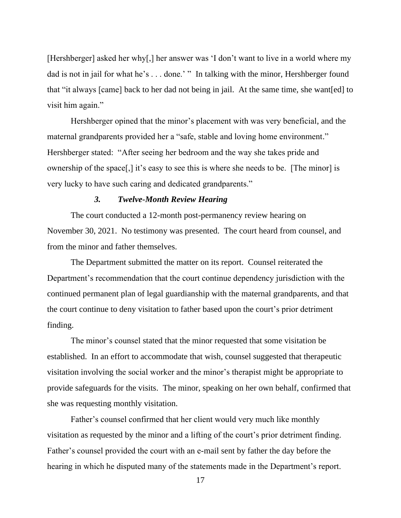[Hershberger] asked her why[,] her answer was 'I don't want to live in a world where my dad is not in jail for what he's ... done.' " In talking with the minor, Hershberger found that "it always [came] back to her dad not being in jail. At the same time, she want[ed] to visit him again."

Hershberger opined that the minor's placement with was very beneficial, and the maternal grandparents provided her a "safe, stable and loving home environment." Hershberger stated: "After seeing her bedroom and the way she takes pride and ownership of the space[,] it's easy to see this is where she needs to be. [The minor] is very lucky to have such caring and dedicated grandparents."

## *3. Twelve-Month Review Hearing*

The court conducted a 12-month post-permanency review hearing on November 30, 2021. No testimony was presented. The court heard from counsel, and from the minor and father themselves.

The Department submitted the matter on its report. Counsel reiterated the Department's recommendation that the court continue dependency jurisdiction with the continued permanent plan of legal guardianship with the maternal grandparents, and that the court continue to deny visitation to father based upon the court's prior detriment finding.

The minor's counsel stated that the minor requested that some visitation be established. In an effort to accommodate that wish, counsel suggested that therapeutic visitation involving the social worker and the minor's therapist might be appropriate to provide safeguards for the visits. The minor, speaking on her own behalf, confirmed that she was requesting monthly visitation.

Father's counsel confirmed that her client would very much like monthly visitation as requested by the minor and a lifting of the court's prior detriment finding. Father's counsel provided the court with an e-mail sent by father the day before the hearing in which he disputed many of the statements made in the Department's report.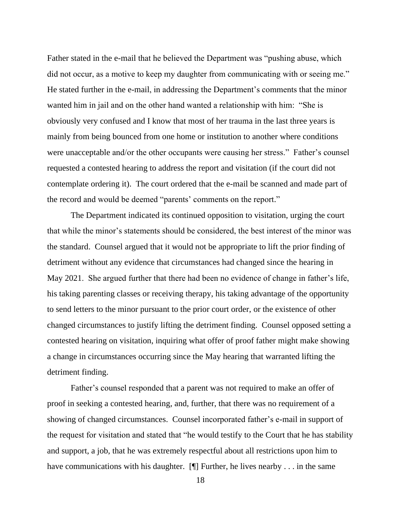Father stated in the e-mail that he believed the Department was "pushing abuse, which did not occur, as a motive to keep my daughter from communicating with or seeing me." He stated further in the e-mail, in addressing the Department's comments that the minor wanted him in jail and on the other hand wanted a relationship with him: "She is obviously very confused and I know that most of her trauma in the last three years is mainly from being bounced from one home or institution to another where conditions were unacceptable and/or the other occupants were causing her stress." Father's counsel requested a contested hearing to address the report and visitation (if the court did not contemplate ordering it). The court ordered that the e-mail be scanned and made part of the record and would be deemed "parents' comments on the report."

The Department indicated its continued opposition to visitation, urging the court that while the minor's statements should be considered, the best interest of the minor was the standard. Counsel argued that it would not be appropriate to lift the prior finding of detriment without any evidence that circumstances had changed since the hearing in May 2021. She argued further that there had been no evidence of change in father's life, his taking parenting classes or receiving therapy, his taking advantage of the opportunity to send letters to the minor pursuant to the prior court order, or the existence of other changed circumstances to justify lifting the detriment finding. Counsel opposed setting a contested hearing on visitation, inquiring what offer of proof father might make showing a change in circumstances occurring since the May hearing that warranted lifting the detriment finding.

Father's counsel responded that a parent was not required to make an offer of proof in seeking a contested hearing, and, further, that there was no requirement of a showing of changed circumstances. Counsel incorporated father's e-mail in support of the request for visitation and stated that "he would testify to the Court that he has stability and support, a job, that he was extremely respectful about all restrictions upon him to have communications with his daughter. [¶] Further, he lives nearby . . . in the same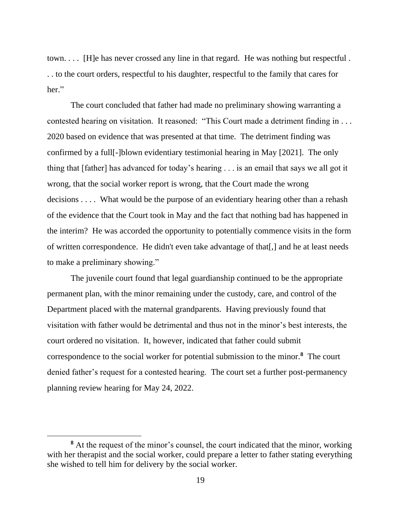town. . . . [H]e has never crossed any line in that regard. He was nothing but respectful . . . to the court orders, respectful to his daughter, respectful to the family that cares for her."

The court concluded that father had made no preliminary showing warranting a contested hearing on visitation. It reasoned: "This Court made a detriment finding in . . . 2020 based on evidence that was presented at that time. The detriment finding was confirmed by a full[-]blown evidentiary testimonial hearing in May [2021]. The only thing that [father] has advanced for today's hearing . . . is an email that says we all got it wrong, that the social worker report is wrong, that the Court made the wrong decisions . . . . What would be the purpose of an evidentiary hearing other than a rehash of the evidence that the Court took in May and the fact that nothing bad has happened in the interim? He was accorded the opportunity to potentially commence visits in the form of written correspondence. He didn't even take advantage of that[,] and he at least needs to make a preliminary showing."

The juvenile court found that legal guardianship continued to be the appropriate permanent plan, with the minor remaining under the custody, care, and control of the Department placed with the maternal grandparents. Having previously found that visitation with father would be detrimental and thus not in the minor's best interests, the court ordered no visitation. It, however, indicated that father could submit correspondence to the social worker for potential submission to the minor.**<sup>8</sup>** The court denied father's request for a contested hearing. The court set a further post-permanency planning review hearing for May 24, 2022.

**<sup>8</sup>** At the request of the minor's counsel, the court indicated that the minor, working with her therapist and the social worker, could prepare a letter to father stating everything she wished to tell him for delivery by the social worker.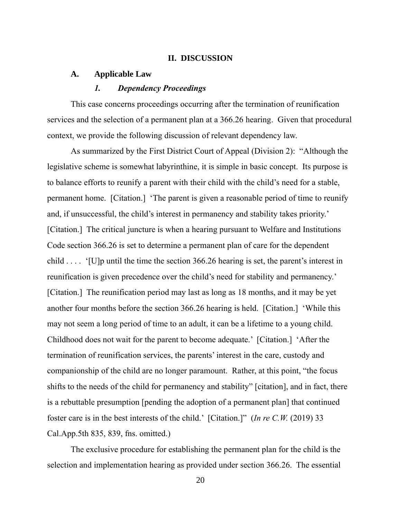### **II. DISCUSSION**

### **A. Applicable Law**

### *1. Dependency Proceedings*

This case concerns proceedings occurring after the termination of reunification services and the selection of a permanent plan at a 366.26 hearing. Given that procedural context, we provide the following discussion of relevant dependency law.

As summarized by the First District Court of Appeal (Division 2): "Although the legislative scheme is somewhat labyrinthine, it is simple in basic concept. Its purpose is to balance efforts to reunify a parent with their child with the child's need for a stable, permanent home. [Citation.] 'The parent is given a reasonable period of time to reunify and, if unsuccessful, the child's interest in permanency and stability takes priority.' [Citation.] The critical juncture is when a hearing pursuant to Welfare and Institutions Code section 366.26 is set to determine a permanent plan of care for the dependent child . . . . '[U]p until the time the section 366.26 hearing is set, the parent's interest in reunification is given precedence over the child's need for stability and permanency.' [Citation.] The reunification period may last as long as 18 months, and it may be yet another four months before the section 366.26 hearing is held. [Citation.] 'While this may not seem a long period of time to an adult, it can be a lifetime to a young child. Childhood does not wait for the parent to become adequate.' [Citation.] 'After the termination of reunification services, the parents' interest in the care, custody and companionship of the child are no longer paramount. Rather, at this point, "the focus shifts to the needs of the child for permanency and stability" [citation], and in fact, there is a rebuttable presumption [pending the adoption of a permanent plan] that continued foster care is in the best interests of the child.' [Citation.]" (*In re C.W.* (2019) 33 Cal.App.5th 835, 839, fns. omitted.)

The exclusive procedure for establishing the permanent plan for the child is the selection and implementation hearing as provided under section 366.26. The essential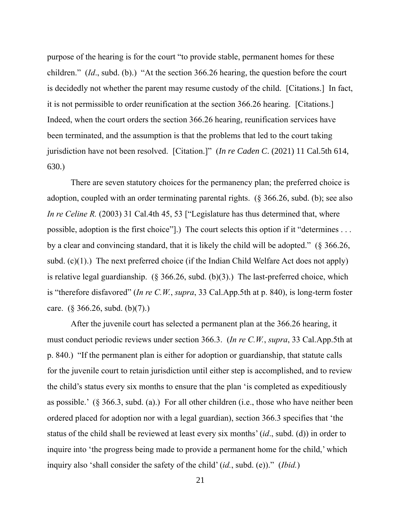purpose of the hearing is for the court "to provide stable, permanent homes for these children." (*Id*., subd. (b).) "At the section 366.26 hearing, the question before the court is decidedly not whether the parent may resume custody of the child. [Citations.] In fact, it is not permissible to order reunification at the section 366.26 hearing. [Citations.] Indeed, when the court orders the section 366.26 hearing, reunification services have been terminated, and the assumption is that the problems that led to the court taking jurisdiction have not been resolved. [Citation.]" (*In re Caden C*. (2021) 11 Cal.5th 614, 630.)

There are seven statutory choices for the permanency plan; the preferred choice is adoption, coupled with an order terminating parental rights. (§ 366.26, subd. (b); see also *In re Celine R.* (2003) 31 Cal.4th 45, 53 ["Legislature has thus determined that, where possible, adoption is the first choice"].) The court selects this option if it "determines . . . by a clear and convincing standard, that it is likely the child will be adopted." (§ 366.26, subd.  $(c)(1)$ .) The next preferred choice (if the Indian Child Welfare Act does not apply) is relative legal guardianship.  $(\S 366.26, \text{subd. (b)}(3))$  The last-preferred choice, which is "therefore disfavored" (*In re C.W.*, *supra*, 33 Cal.App.5th at p. 840), is long-term foster care. (§ 366.26, subd. (b)(7).)

After the juvenile court has selected a permanent plan at the 366.26 hearing, it must conduct periodic reviews under section 366.3. (*In re C.W.*, *supra*, 33 Cal.App.5th at p. 840.) "If the permanent plan is either for adoption or guardianship, that statute calls for the juvenile court to retain jurisdiction until either step is accomplished, and to review the child's status every six months to ensure that the plan 'is completed as expeditiously as possible.' (§ 366.3, subd. (a).) For all other children (i.e., those who have neither been ordered placed for adoption nor with a legal guardian), section 366.3 specifies that 'the status of the child shall be reviewed at least every six months' (*id*., subd. (d)) in order to inquire into 'the progress being made to provide a permanent home for the child,' which inquiry also 'shall consider the safety of the child' (*id.*, subd. (e))." (*Ibid.*)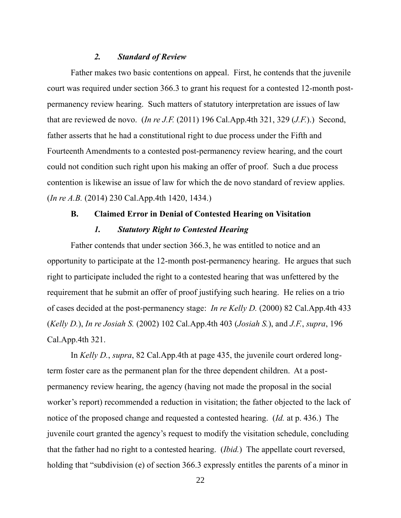#### *2. Standard of Review*

Father makes two basic contentions on appeal. First, he contends that the juvenile court was required under section 366.3 to grant his request for a contested 12-month postpermanency review hearing. Such matters of statutory interpretation are issues of law that are reviewed de novo. (*In re J.F.* (2011) 196 Cal.App.4th 321, 329 (*J.F.*).) Second, father asserts that he had a constitutional right to due process under the Fifth and Fourteenth Amendments to a contested post-permanency review hearing, and the court could not condition such right upon his making an offer of proof. Such a due process contention is likewise an issue of law for which the de novo standard of review applies. (*In re A.B.* (2014) 230 Cal.App.4th 1420, 1434.)

# **B. Claimed Error in Denial of Contested Hearing on Visitation**

# *1. Statutory Right to Contested Hearing*

Father contends that under section 366.3, he was entitled to notice and an opportunity to participate at the 12-month post-permanency hearing. He argues that such right to participate included the right to a contested hearing that was unfettered by the requirement that he submit an offer of proof justifying such hearing. He relies on a trio of cases decided at the post-permanency stage: *In re Kelly D.* (2000) 82 Cal.App.4th 433 (*Kelly D.*), *In re Josiah S.* (2002) 102 Cal.App.4th 403 (*Josiah S.*), and *J.F.*, *supra*, 196 Cal.App.4th 321.

In *Kelly D.*, *supra*, 82 Cal.App.4th at page 435, the juvenile court ordered longterm foster care as the permanent plan for the three dependent children. At a postpermanency review hearing, the agency (having not made the proposal in the social worker's report) recommended a reduction in visitation; the father objected to the lack of notice of the proposed change and requested a contested hearing. (*Id.* at p. 436.) The juvenile court granted the agency's request to modify the visitation schedule, concluding that the father had no right to a contested hearing. (*Ibid.*) The appellate court reversed, holding that "subdivision (e) of section 366.3 expressly entitles the parents of a minor in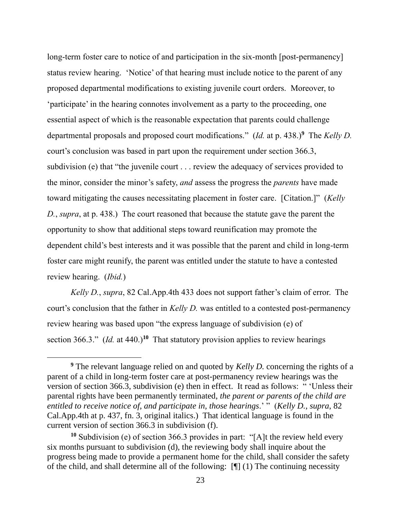long-term foster care to notice of and participation in the six-month [post-permanency] status review hearing. 'Notice' of that hearing must include notice to the parent of any proposed departmental modifications to existing juvenile court orders. Moreover, to 'participate' in the hearing connotes involvement as a party to the proceeding, one essential aspect of which is the reasonable expectation that parents could challenge departmental proposals and proposed court modifications." (*Id.* at p. 438.)**<sup>9</sup>** The *Kelly D.*  court's conclusion was based in part upon the requirement under section 366.3, subdivision (e) that "the juvenile court . . . review the adequacy of services provided to the minor, consider the minor's safety, *and* assess the progress the *parents* have made toward mitigating the causes necessitating placement in foster care. [Citation.]" (*Kelly D.*, *supra*, at p. 438.) The court reasoned that because the statute gave the parent the opportunity to show that additional steps toward reunification may promote the dependent child's best interests and it was possible that the parent and child in long-term foster care might reunify, the parent was entitled under the statute to have a contested review hearing. (*Ibid.*)

*Kelly D.*, *supra*, 82 Cal.App.4th 433 does not support father's claim of error. The court's conclusion that the father in *Kelly D.* was entitled to a contested post-permanency review hearing was based upon "the express language of subdivision (e) of section 366.3." (*Id.* at 440.)<sup>10</sup> That statutory provision applies to review hearings

**<sup>9</sup>** The relevant language relied on and quoted by *Kelly D.* concerning the rights of a parent of a child in long-term foster care at post-permanency review hearings was the version of section 366.3, subdivision (e) then in effect. It read as follows: " 'Unless their parental rights have been permanently terminated, *the parent or parents of the child are entitled to receive notice of, and participate in, those hearings*.' " (*Kelly D.*, *supra*, 82 Cal.App.4th at p. 437, fn. 3, original italics.) That identical language is found in the current version of section 366.3 in subdivision (f).

**<sup>10</sup>** Subdivision (e) of section 366.3 provides in part: "[A]t the review held every six months pursuant to subdivision (d), the reviewing body shall inquire about the progress being made to provide a permanent home for the child, shall consider the safety of the child, and shall determine all of the following: [¶] (1) The continuing necessity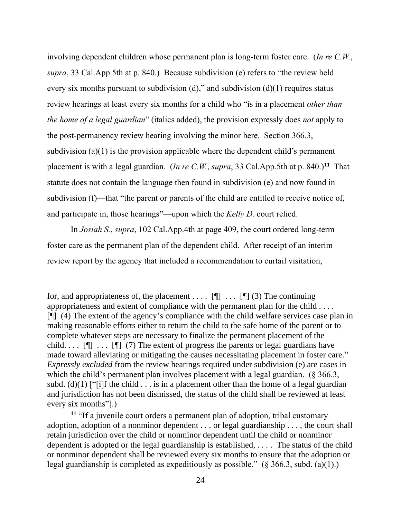involving dependent children whose permanent plan is long-term foster care. (*In re C.W.*, *supra*, 33 Cal.App.5th at p. 840.) Because subdivision (e) refers to "the review held every six months pursuant to subdivision  $(d)$ ," and subdivision  $(d)(1)$  requires status review hearings at least every six months for a child who "is in a placement *other than the home of a legal guardian*" (italics added), the provision expressly does *not* apply to the post-permanency review hearing involving the minor here. Section 366.3, subdivision (a)(1) is the provision applicable where the dependent child's permanent placement is with a legal guardian. (*In re C.W.*, *supra*, 33 Cal.App.5th at p. 840.)**<sup>11</sup>** That statute does not contain the language then found in subdivision (e) and now found in subdivision (f)—that "the parent or parents of the child are entitled to receive notice of, and participate in, those hearings"—upon which the *Kelly D.* court relied.

In *Josiah S.*, *supra*, 102 Cal.App.4th at page 409, the court ordered long-term foster care as the permanent plan of the dependent child. After receipt of an interim review report by the agency that included a recommendation to curtail visitation,

for, and appropriateness of, the placement . . . .  $[\P]$  . . .  $[\P]$  (3) The continuing appropriateness and extent of compliance with the permanent plan for the child . . . . [¶] (4) The extent of the agency's compliance with the child welfare services case plan in making reasonable efforts either to return the child to the safe home of the parent or to complete whatever steps are necessary to finalize the permanent placement of the child.  $\ldots$  [ $\parallel$ ]  $\ldots$  [ $\parallel$ ] (7) The extent of progress the parents or legal guardians have made toward alleviating or mitigating the causes necessitating placement in foster care." *Expressly excluded* from the review hearings required under subdivision (e) are cases in which the child's permanent plan involves placement with a legal guardian. (§ 366.3, subd. (d)(1) ["[i]f the child  $\ldots$  is in a placement other than the home of a legal guardian and jurisdiction has not been dismissed, the status of the child shall be reviewed at least every six months"].)

**<sup>11</sup>** "If a juvenile court orders a permanent plan of adoption, tribal customary adoption, adoption of a nonminor dependent . . . or legal guardianship . . . , the court shall retain jurisdiction over the child or nonminor dependent until the child or nonminor dependent is adopted or the legal guardianship is established, . . . . The status of the child or nonminor dependent shall be reviewed every six months to ensure that the adoption or legal guardianship is completed as expeditiously as possible." (§ 366.3, subd. (a)(1).)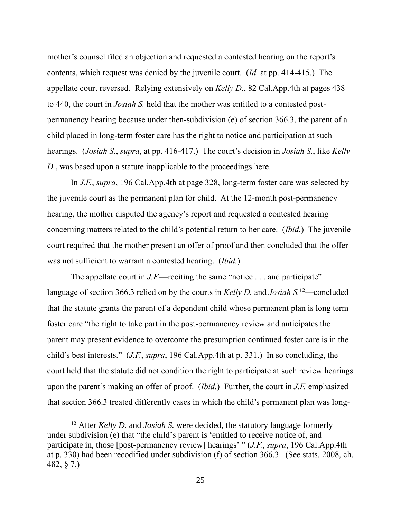mother's counsel filed an objection and requested a contested hearing on the report's contents, which request was denied by the juvenile court. (*Id.* at pp. 414-415.) The appellate court reversed. Relying extensively on *Kelly D.*, 82 Cal.App.4th at pages 438 to 440, the court in *Josiah S.* held that the mother was entitled to a contested postpermanency hearing because under then-subdivision (e) of section 366.3, the parent of a child placed in long-term foster care has the right to notice and participation at such hearings. (*Josiah S.*, *supra*, at pp. 416-417.) The court's decision in *Josiah S.*, like *Kelly D.*, was based upon a statute inapplicable to the proceedings here.

In *J.F.*, *supra*, 196 Cal.App.4th at page 328, long-term foster care was selected by the juvenile court as the permanent plan for child. At the 12-month post-permanency hearing, the mother disputed the agency's report and requested a contested hearing concerning matters related to the child's potential return to her care. (*Ibid.*) The juvenile court required that the mother present an offer of proof and then concluded that the offer was not sufficient to warrant a contested hearing. (*Ibid.*)

The appellate court in *J.F.*—reciting the same "notice . . . and participate" language of section 366.3 relied on by the courts in *Kelly D.* and *Josiah S.***<sup>12</sup>**—concluded that the statute grants the parent of a dependent child whose permanent plan is long term foster care "the right to take part in the post-permanency review and anticipates the parent may present evidence to overcome the presumption continued foster care is in the child's best interests." (*J.F.*, *supra*, 196 Cal.App.4th at p. 331.) In so concluding, the court held that the statute did not condition the right to participate at such review hearings upon the parent's making an offer of proof. (*Ibid.*) Further, the court in *J.F.* emphasized that section 366.3 treated differently cases in which the child's permanent plan was long-

**<sup>12</sup>** After *Kelly D.* and *Josiah S.* were decided, the statutory language formerly under subdivision (e) that "the child's parent is 'entitled to receive notice of, and participate in, those [post-permanency review] hearings' " (*J.F.*, *supra*, 196 Cal.App.4th at p. 330) had been recodified under subdivision (f) of section 366.3. (See stats. 2008, ch. 482, § 7.)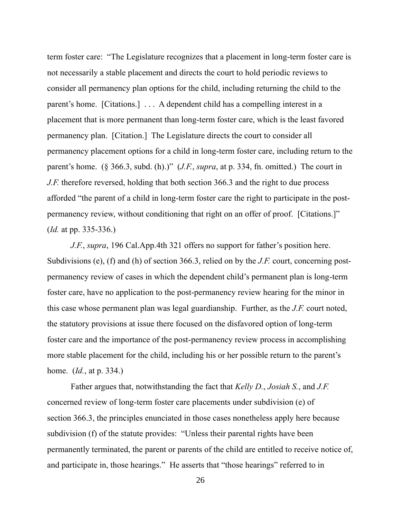term foster care: "The Legislature recognizes that a placement in long-term foster care is not necessarily a stable placement and directs the court to hold periodic reviews to consider all permanency plan options for the child, including returning the child to the parent's home. [Citations.] . . . A dependent child has a compelling interest in a placement that is more permanent than long-term foster care, which is the least favored permanency plan. [Citation.] The Legislature directs the court to consider all permanency placement options for a child in long-term foster care, including return to the parent's home. (§ 366.3, subd. (h).)" (*J.F.*, *supra*, at p. 334, fn. omitted.) The court in *J.F.* therefore reversed, holding that both section 366.3 and the right to due process afforded "the parent of a child in long-term foster care the right to participate in the postpermanency review, without conditioning that right on an offer of proof. [Citations.]" (*Id.* at pp. 335-336.)

*J.F.*, *supra*, 196 Cal.App.4th 321 offers no support for father's position here. Subdivisions (e), (f) and (h) of section 366.3, relied on by the *J.F.* court, concerning postpermanency review of cases in which the dependent child's permanent plan is long-term foster care, have no application to the post-permanency review hearing for the minor in this case whose permanent plan was legal guardianship. Further, as the *J.F.* court noted, the statutory provisions at issue there focused on the disfavored option of long-term foster care and the importance of the post-permanency review process in accomplishing more stable placement for the child, including his or her possible return to the parent's home. (*Id.*, at p. 334.)

Father argues that, notwithstanding the fact that *Kelly D.*, *Josiah S.*, and *J.F.* concerned review of long-term foster care placements under subdivision (e) of section 366.3, the principles enunciated in those cases nonetheless apply here because subdivision (f) of the statute provides: "Unless their parental rights have been permanently terminated, the parent or parents of the child are entitled to receive notice of, and participate in, those hearings." He asserts that "those hearings" referred to in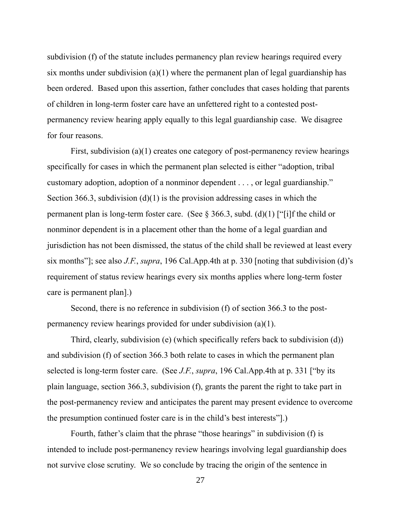subdivision (f) of the statute includes permanency plan review hearings required every six months under subdivision  $(a)(1)$  where the permanent plan of legal guardianship has been ordered. Based upon this assertion, father concludes that cases holding that parents of children in long-term foster care have an unfettered right to a contested postpermanency review hearing apply equally to this legal guardianship case. We disagree for four reasons.

First, subdivision (a)(1) creates one category of post-permanency review hearings specifically for cases in which the permanent plan selected is either "adoption, tribal customary adoption, adoption of a nonminor dependent . . . , or legal guardianship." Section 366.3, subdivision  $(d)(1)$  is the provision addressing cases in which the permanent plan is long-term foster care. (See  $\S 366.3$ , subd. (d)(1) ["[i]f the child or nonminor dependent is in a placement other than the home of a legal guardian and jurisdiction has not been dismissed, the status of the child shall be reviewed at least every six months"]; see also *J.F.*, *supra*, 196 Cal.App.4th at p. 330 [noting that subdivision (d)'s requirement of status review hearings every six months applies where long-term foster care is permanent plan].)

Second, there is no reference in subdivision (f) of section 366.3 to the postpermanency review hearings provided for under subdivision (a)(1).

Third, clearly, subdivision (e) (which specifically refers back to subdivision (d)) and subdivision (f) of section 366.3 both relate to cases in which the permanent plan selected is long-term foster care. (See *J.F.*, *supra*, 196 Cal.App.4th at p. 331 ["by its plain language, section 366.3, subdivision (f), grants the parent the right to take part in the post-permanency review and anticipates the parent may present evidence to overcome the presumption continued foster care is in the child's best interests"].)

Fourth, father's claim that the phrase "those hearings" in subdivision (f) is intended to include post-permanency review hearings involving legal guardianship does not survive close scrutiny. We so conclude by tracing the origin of the sentence in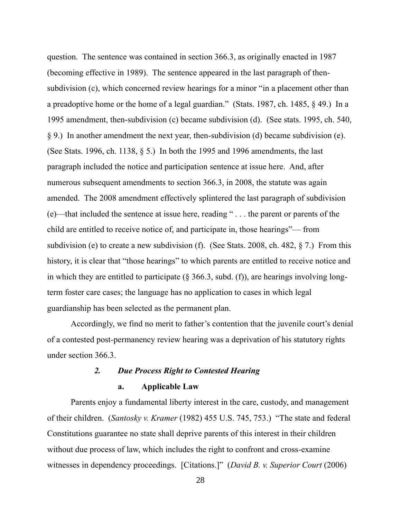question. The sentence was contained in section 366.3, as originally enacted in 1987 (becoming effective in 1989). The sentence appeared in the last paragraph of thensubdivision (c), which concerned review hearings for a minor "in a placement other than a preadoptive home or the home of a legal guardian." (Stats. 1987, ch. 1485, § 49.) In a 1995 amendment, then-subdivision (c) became subdivision (d). (See stats. 1995, ch. 540, § 9.) In another amendment the next year, then-subdivision (d) became subdivision (e). (See Stats. 1996, ch. 1138, § 5.) In both the 1995 and 1996 amendments, the last paragraph included the notice and participation sentence at issue here. And, after numerous subsequent amendments to section 366.3, in 2008, the statute was again amended. The 2008 amendment effectively splintered the last paragraph of subdivision (e)—that included the sentence at issue here, reading " . . . the parent or parents of the child are entitled to receive notice of, and participate in, those hearings"— from subdivision (e) to create a new subdivision (f). (See Stats. 2008, ch. 482, § 7.) From this history, it is clear that "those hearings" to which parents are entitled to receive notice and in which they are entitled to participate ( $\S$  366.3, subd. (f)), are hearings involving longterm foster care cases; the language has no application to cases in which legal guardianship has been selected as the permanent plan.

Accordingly, we find no merit to father's contention that the juvenile court's denial of a contested post-permanency review hearing was a deprivation of his statutory rights under section 366.3.

## *2. Due Process Right to Contested Hearing*

#### **a. Applicable Law**

Parents enjoy a fundamental liberty interest in the care, custody, and management of their children. (*Santosky v. Kramer* (1982) 455 U.S. 745, 753.) "The state and federal Constitutions guarantee no state shall deprive parents of this interest in their children without due process of law, which includes the right to confront and cross-examine witnesses in dependency proceedings. [Citations.]" (*David B. v. Superior Court* (2006)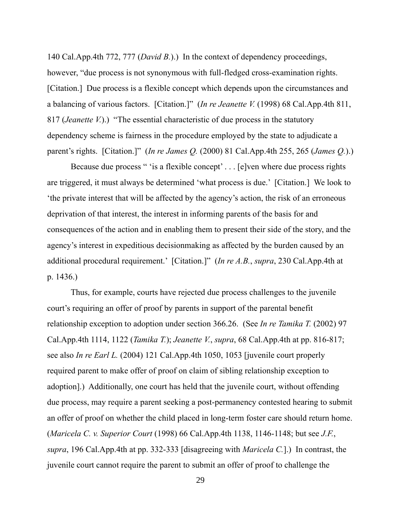140 Cal.App.4th 772, 777 (*David B.*).) In the context of dependency proceedings, however, "due process is not synonymous with full-fledged cross-examination rights. [Citation.] Due process is a flexible concept which depends upon the circumstances and a balancing of various factors. [Citation.]" (*In re Jeanette V.* (1998) 68 Cal.App.4th 811, 817 (*Jeanette V.*).) "The essential characteristic of due process in the statutory dependency scheme is fairness in the procedure employed by the state to adjudicate a parent's rights. [Citation.]" (*In re James Q.* (2000) 81 Cal.App.4th 255, 265 (*James Q.*).)

Because due process " 'is a flexible concept' . . . [e]ven where due process rights are triggered, it must always be determined 'what process is due.' [Citation.] We look to 'the private interest that will be affected by the agency's action, the risk of an erroneous deprivation of that interest, the interest in informing parents of the basis for and consequences of the action and in enabling them to present their side of the story, and the agency's interest in expeditious decisionmaking as affected by the burden caused by an additional procedural requirement.' [Citation.]" (*In re A.B.*, *supra*, 230 Cal.App.4th at p. 1436.)

Thus, for example, courts have rejected due process challenges to the juvenile court's requiring an offer of proof by parents in support of the parental benefit relationship exception to adoption under section 366.26. (See *In re Tamika T.* (2002) 97 Cal.App.4th 1114, 1122 (*Tamika T.*); *Jeanette V.*, *supra*, 68 Cal.App.4th at pp. 816-817; see also *In re Earl L.* (2004) 121 Cal.App.4th 1050, 1053 [juvenile court properly required parent to make offer of proof on claim of sibling relationship exception to adoption].) Additionally, one court has held that the juvenile court, without offending due process, may require a parent seeking a post-permanency contested hearing to submit an offer of proof on whether the child placed in long-term foster care should return home. (*Maricela C. v. Superior Court* (1998) 66 Cal.App.4th 1138, 1146-1148; but see *J.F.*, *supra*, 196 Cal.App.4th at pp. 332-333 [disagreeing with *Maricela C.*].) In contrast, the juvenile court cannot require the parent to submit an offer of proof to challenge the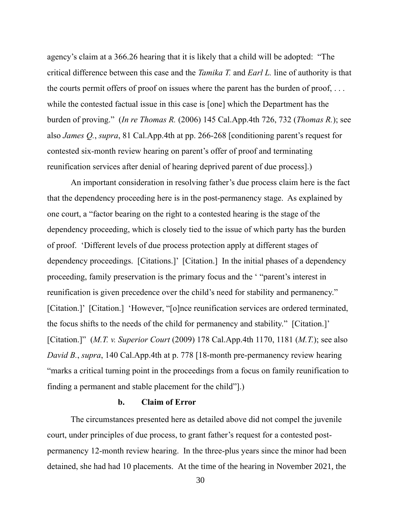agency's claim at a 366.26 hearing that it is likely that a child will be adopted: "The critical difference between this case and the *Tamika T.* and *Earl L.* line of authority is that the courts permit offers of proof on issues where the parent has the burden of proof, . . . while the contested factual issue in this case is [one] which the Department has the burden of proving." (*In re Thomas R.* (2006) 145 Cal.App.4th 726, 732 (*Thomas R.*); see also *James Q.*, *supra*, 81 Cal.App.4th at pp. 266-268 [conditioning parent's request for contested six-month review hearing on parent's offer of proof and terminating reunification services after denial of hearing deprived parent of due process].)

An important consideration in resolving father's due process claim here is the fact that the dependency proceeding here is in the post-permanency stage. As explained by one court, a "factor bearing on the right to a contested hearing is the stage of the dependency proceeding, which is closely tied to the issue of which party has the burden of proof. 'Different levels of due process protection apply at different stages of dependency proceedings. [Citations.]' [Citation.] In the initial phases of a dependency proceeding, family preservation is the primary focus and the ' "parent's interest in reunification is given precedence over the child's need for stability and permanency." [Citation.]' [Citation.] 'However, "[o]nce reunification services are ordered terminated, the focus shifts to the needs of the child for permanency and stability." [Citation.]' [Citation.]" (*M.T. v. Superior Court* (2009) 178 Cal.App.4th 1170, 1181 (*M.T.*); see also *David B.*, *supra*, 140 Cal.App.4th at p. 778 [18-month pre-permanency review hearing "marks a critical turning point in the proceedings from a focus on family reunification to finding a permanent and stable placement for the child"].)

## **b. Claim of Error**

The circumstances presented here as detailed above did not compel the juvenile court, under principles of due process, to grant father's request for a contested postpermanency 12-month review hearing. In the three-plus years since the minor had been detained, she had had 10 placements. At the time of the hearing in November 2021, the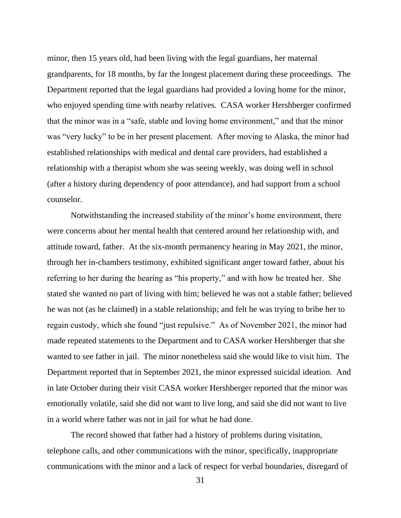minor, then 15 years old, had been living with the legal guardians, her maternal grandparents, for 18 months, by far the longest placement during these proceedings. The Department reported that the legal guardians had provided a loving home for the minor, who enjoyed spending time with nearby relatives. CASA worker Hershberger confirmed that the minor was in a "safe, stable and loving home environment," and that the minor was "very lucky" to be in her present placement. After moving to Alaska, the minor had established relationships with medical and dental care providers, had established a relationship with a therapist whom she was seeing weekly, was doing well in school (after a history during dependency of poor attendance), and had support from a school counselor.

Notwithstanding the increased stability of the minor's home environment, there were concerns about her mental health that centered around her relationship with, and attitude toward, father. At the six-month permanency hearing in May 2021, the minor, through her in-chambers testimony, exhibited significant anger toward father, about his referring to her during the hearing as "his property," and with how he treated her. She stated she wanted no part of living with him; believed he was not a stable father; believed he was not (as he claimed) in a stable relationship; and felt he was trying to bribe her to regain custody, which she found "just repulsive." As of November 2021, the minor had made repeated statements to the Department and to CASA worker Hershberger that she wanted to see father in jail. The minor nonetheless said she would like to visit him. The Department reported that in September 2021, the minor expressed suicidal ideation. And in late October during their visit CASA worker Hershberger reported that the minor was emotionally volatile, said she did not want to live long, and said she did not want to live in a world where father was not in jail for what he had done.

The record showed that father had a history of problems during visitation, telephone calls, and other communications with the minor, specifically, inappropriate communications with the minor and a lack of respect for verbal boundaries, disregard of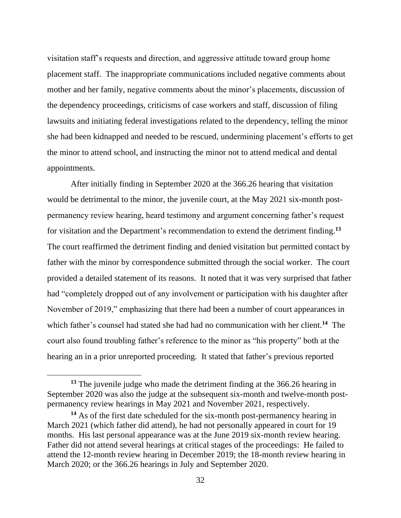visitation staff's requests and direction, and aggressive attitude toward group home placement staff. The inappropriate communications included negative comments about mother and her family, negative comments about the minor's placements, discussion of the dependency proceedings, criticisms of case workers and staff, discussion of filing lawsuits and initiating federal investigations related to the dependency, telling the minor she had been kidnapped and needed to be rescued, undermining placement's efforts to get the minor to attend school, and instructing the minor not to attend medical and dental appointments.

After initially finding in September 2020 at the 366.26 hearing that visitation would be detrimental to the minor, the juvenile court, at the May 2021 six-month postpermanency review hearing, heard testimony and argument concerning father's request for visitation and the Department's recommendation to extend the detriment finding.**<sup>13</sup>** The court reaffirmed the detriment finding and denied visitation but permitted contact by father with the minor by correspondence submitted through the social worker. The court provided a detailed statement of its reasons. It noted that it was very surprised that father had "completely dropped out of any involvement or participation with his daughter after November of 2019," emphasizing that there had been a number of court appearances in which father's counsel had stated she had had no communication with her client. **<sup>14</sup>** The court also found troubling father's reference to the minor as "his property" both at the hearing an in a prior unreported proceeding. It stated that father's previous reported

**<sup>13</sup>** The juvenile judge who made the detriment finding at the 366.26 hearing in September 2020 was also the judge at the subsequent six-month and twelve-month postpermanency review hearings in May 2021 and November 2021, respectively.

**<sup>14</sup>** As of the first date scheduled for the six-month post-permanency hearing in March 2021 (which father did attend), he had not personally appeared in court for 19 months. His last personal appearance was at the June 2019 six-month review hearing. Father did not attend several hearings at critical stages of the proceedings: He failed to attend the 12-month review hearing in December 2019; the 18-month review hearing in March 2020; or the 366.26 hearings in July and September 2020.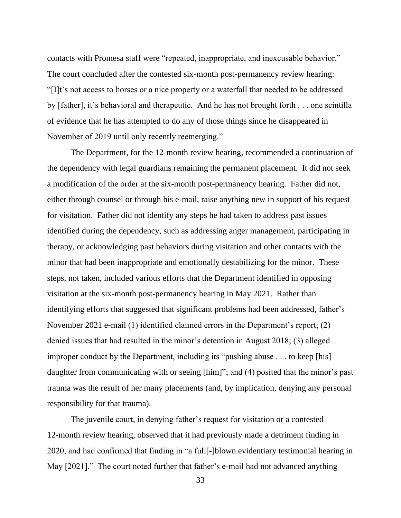contacts with Promesa staff were "repeated, inappropriate, and inexcusable behavior." The court concluded after the contested six-month post-permanency review hearing: "[I]t's not access to horses or a nice property or a waterfall that needed to be addressed by [father], it's behavioral and therapeutic. And he has not brought forth . . . one scintilla of evidence that he has attempted to do any of those things since he disappeared in November of 2019 until only recently reemerging."

The Department, for the 12-month review hearing, recommended a continuation of the dependency with legal guardians remaining the permanent placement. It did not seek a modification of the order at the six-month post-permanency hearing. Father did not, either through counsel or through his e-mail, raise anything new in support of his request for visitation. Father did not identify any steps he had taken to address past issues identified during the dependency, such as addressing anger management, participating in therapy, or acknowledging past behaviors during visitation and other contacts with the minor that had been inappropriate and emotionally destabilizing for the minor. These steps, not taken, included various efforts that the Department identified in opposing visitation at the six-month post-permanency hearing in May 2021. Rather than identifying efforts that suggested that significant problems had been addressed, father's November 2021 e-mail (1) identified claimed errors in the Department's report; (2) denied issues that had resulted in the minor's detention in August 2018; (3) alleged improper conduct by the Department, including its "pushing abuse . . . to keep [his] daughter from communicating with or seeing [him]"; and (4) posited that the minor's past trauma was the result of her many placements (and, by implication, denying any personal responsibility for that trauma).

The juvenile court, in denying father's request for visitation or a contested 12-month review hearing, observed that it had previously made a detriment finding in 2020, and had confirmed that finding in "a full[-]blown evidentiary testimonial hearing in May [2021]." The court noted further that father's e-mail had not advanced anything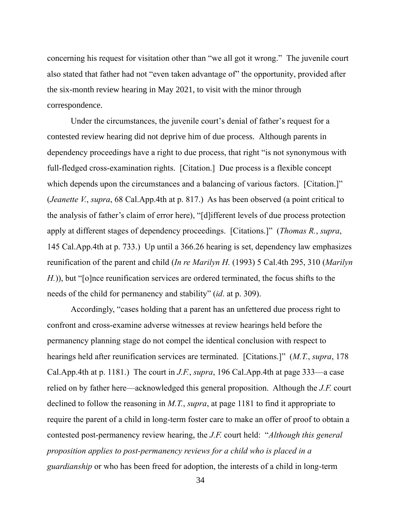concerning his request for visitation other than "we all got it wrong." The juvenile court also stated that father had not "even taken advantage of" the opportunity, provided after the six-month review hearing in May 2021, to visit with the minor through correspondence.

Under the circumstances, the juvenile court's denial of father's request for a contested review hearing did not deprive him of due process. Although parents in dependency proceedings have a right to due process, that right "is not synonymous with full-fledged cross-examination rights. [Citation.] Due process is a flexible concept which depends upon the circumstances and a balancing of various factors. [Citation.]" (*Jeanette V.*, *supra*, 68 Cal.App.4th at p. 817.) As has been observed (a point critical to the analysis of father's claim of error here), "[d]ifferent levels of due process protection apply at different stages of dependency proceedings. [Citations.]" (*Thomas R.*, *supra*, 145 Cal.App.4th at p. 733.) Up until a 366.26 hearing is set, dependency law emphasizes reunification of the parent and child (*In re Marilyn H.* (1993) 5 Cal.4th 295, 310 (*Marilyn H.*)), but "[o]nce reunification services are ordered terminated, the focus shifts to the needs of the child for permanency and stability" (*id*. at p. 309).

Accordingly, "cases holding that a parent has an unfettered due process right to confront and cross-examine adverse witnesses at review hearings held before the permanency planning stage do not compel the identical conclusion with respect to hearings held after reunification services are terminated. [Citations.]" (*M.T.*, *supra*, 178 Cal.App.4th at p. 1181.) The court in *J.F.*, *supra*, 196 Cal.App.4th at page 333—a case relied on by father here—acknowledged this general proposition. Although the *J.F.* court declined to follow the reasoning in *M.T.*, *supra*, at page 1181 to find it appropriate to require the parent of a child in long-term foster care to make an offer of proof to obtain a contested post-permanency review hearing, the *J.F.* court held: "*Although this general proposition applies to post-permanency reviews for a child who is placed in a guardianship* or who has been freed for adoption, the interests of a child in long-term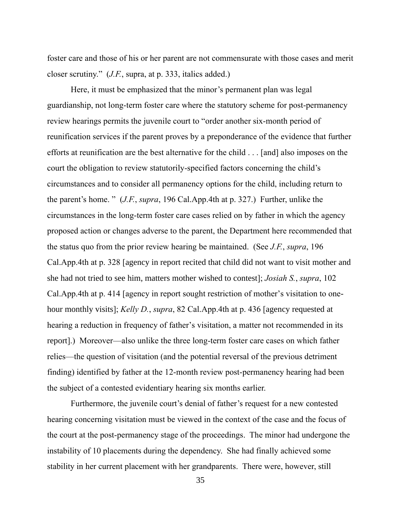foster care and those of his or her parent are not commensurate with those cases and merit closer scrutiny." (*J.F.*, supra, at p. 333, italics added.)

Here, it must be emphasized that the minor's permanent plan was legal guardianship, not long-term foster care where the statutory scheme for post-permanency review hearings permits the juvenile court to "order another six-month period of reunification services if the parent proves by a preponderance of the evidence that further efforts at reunification are the best alternative for the child . . . [and] also imposes on the court the obligation to review statutorily-specified factors concerning the child's circumstances and to consider all permanency options for the child, including return to the parent's home. " (*J.F.*, *supra*, 196 Cal.App.4th at p. 327.) Further, unlike the circumstances in the long-term foster care cases relied on by father in which the agency proposed action or changes adverse to the parent, the Department here recommended that the status quo from the prior review hearing be maintained. (See *J.F.*, *supra*, 196 Cal.App.4th at p. 328 [agency in report recited that child did not want to visit mother and she had not tried to see him, matters mother wished to contest]; *Josiah S.*, *supra*, 102 Cal.App.4th at p. 414 [agency in report sought restriction of mother's visitation to onehour monthly visits]; *Kelly D.*, *supra*, 82 Cal.App.4th at p. 436 [agency requested at hearing a reduction in frequency of father's visitation, a matter not recommended in its report].) Moreover—also unlike the three long-term foster care cases on which father relies—the question of visitation (and the potential reversal of the previous detriment finding) identified by father at the 12-month review post-permanency hearing had been the subject of a contested evidentiary hearing six months earlier.

Furthermore, the juvenile court's denial of father's request for a new contested hearing concerning visitation must be viewed in the context of the case and the focus of the court at the post-permanency stage of the proceedings. The minor had undergone the instability of 10 placements during the dependency. She had finally achieved some stability in her current placement with her grandparents. There were, however, still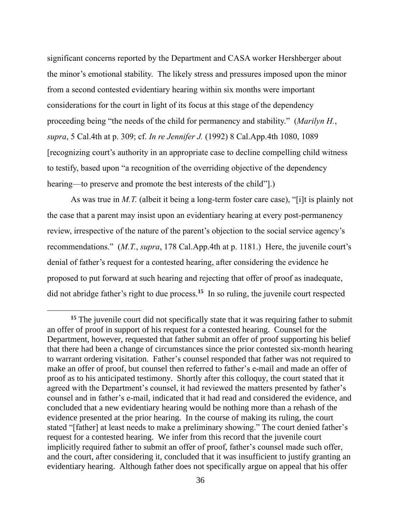significant concerns reported by the Department and CASA worker Hershberger about the minor's emotional stability. The likely stress and pressures imposed upon the minor from a second contested evidentiary hearing within six months were important considerations for the court in light of its focus at this stage of the dependency proceeding being "the needs of the child for permanency and stability." (*Marilyn H.*, *supra*, 5 Cal.4th at p. 309; cf. *In re Jennifer J.* (1992) 8 Cal.App.4th 1080, 1089 [recognizing court's authority in an appropriate case to decline compelling child witness to testify, based upon "a recognition of the overriding objective of the dependency hearing—to preserve and promote the best interests of the child".)

As was true in *M.T.* (albeit it being a long-term foster care case), "[i]t is plainly not the case that a parent may insist upon an evidentiary hearing at every post-permanency review, irrespective of the nature of the parent's objection to the social service agency's recommendations." (*M.T.*, *supra*, 178 Cal.App.4th at p. 1181.) Here, the juvenile court's denial of father's request for a contested hearing, after considering the evidence he proposed to put forward at such hearing and rejecting that offer of proof as inadequate, did not abridge father's right to due process.**<sup>15</sup>** In so ruling, the juvenile court respected

<sup>&</sup>lt;sup>15</sup> The juvenile court did not specifically state that it was requiring father to submit an offer of proof in support of his request for a contested hearing. Counsel for the Department, however, requested that father submit an offer of proof supporting his belief that there had been a change of circumstances since the prior contested six-month hearing to warrant ordering visitation. Father's counsel responded that father was not required to make an offer of proof, but counsel then referred to father's e-mail and made an offer of proof as to his anticipated testimony. Shortly after this colloquy, the court stated that it agreed with the Department's counsel, it had reviewed the matters presented by father's counsel and in father's e-mail, indicated that it had read and considered the evidence, and concluded that a new evidentiary hearing would be nothing more than a rehash of the evidence presented at the prior hearing. In the course of making its ruling, the court stated "[father] at least needs to make a preliminary showing." The court denied father's request for a contested hearing. We infer from this record that the juvenile court implicitly required father to submit an offer of proof, father's counsel made such offer, and the court, after considering it, concluded that it was insufficient to justify granting an evidentiary hearing. Although father does not specifically argue on appeal that his offer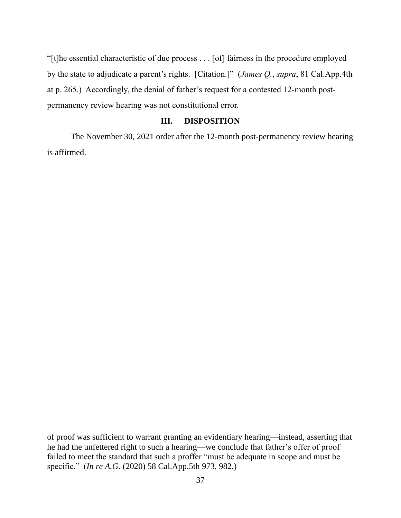"[t]he essential characteristic of due process . . . [of] fairness in the procedure employed by the state to adjudicate a parent's rights. [Citation.]" (*James Q.*, *supra*, 81 Cal.App.4th at p. 265.) Accordingly, the denial of father's request for a contested 12-month postpermanency review hearing was not constitutional error.

# **III. DISPOSITION**

The November 30, 2021 order after the 12-month post-permanency review hearing is affirmed.

of proof was sufficient to warrant granting an evidentiary hearing—instead, asserting that he had the unfettered right to such a hearing—we conclude that father's offer of proof failed to meet the standard that such a proffer "must be adequate in scope and must be specific." (*In re A.G.* (2020) 58 Cal.App.5th 973, 982.)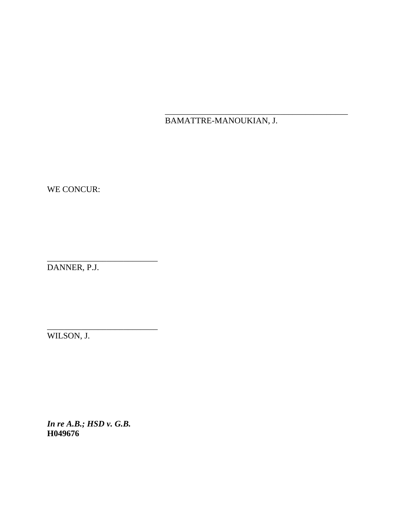BAMATTRE-MANOUKIAN, J.

\_\_\_\_\_\_\_\_\_\_\_\_\_\_\_\_\_\_\_\_\_\_\_\_\_\_\_\_\_\_\_\_\_\_\_\_\_\_\_\_\_\_\_

WE CONCUR:

DANNER, P.J.

\_\_\_\_\_\_\_\_\_\_\_\_\_\_\_\_\_\_\_\_\_\_\_\_\_\_

\_\_\_\_\_\_\_\_\_\_\_\_\_\_\_\_\_\_\_\_\_\_\_\_\_\_

WILSON, J.

*In re A.B.; HSD v. G.B.* **H049676**